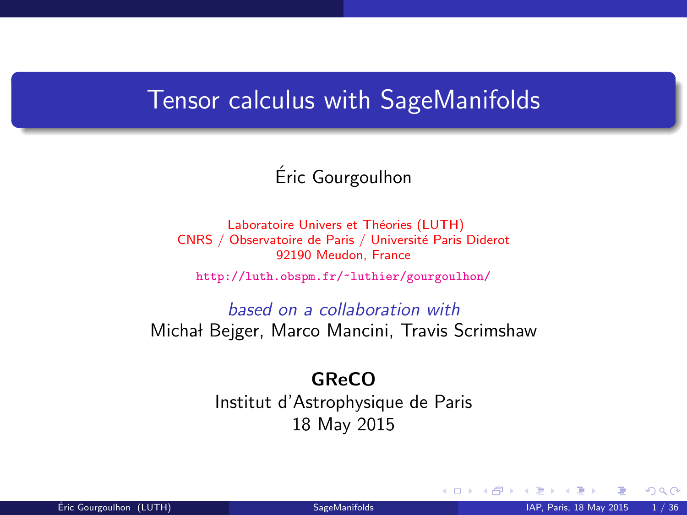### Tensor calculus with SageManifolds

Eric Gourgoulhon ´

Laboratoire Univers et Théories (LUTH) CNRS / Observatoire de Paris / Université Paris Diderot 92190 Meudon, France

<http://luth.obspm.fr/~luthier/gourgoulhon/>

based on a collaboration with Michał Bejger, Marco Mancini, Travis Scrimshaw

#### GReCO

Institut d'Astrophysique de Paris 18 May 2015

<span id="page-0-0"></span> $\Omega$ 

**K ロ ▶ K 何 ▶ K**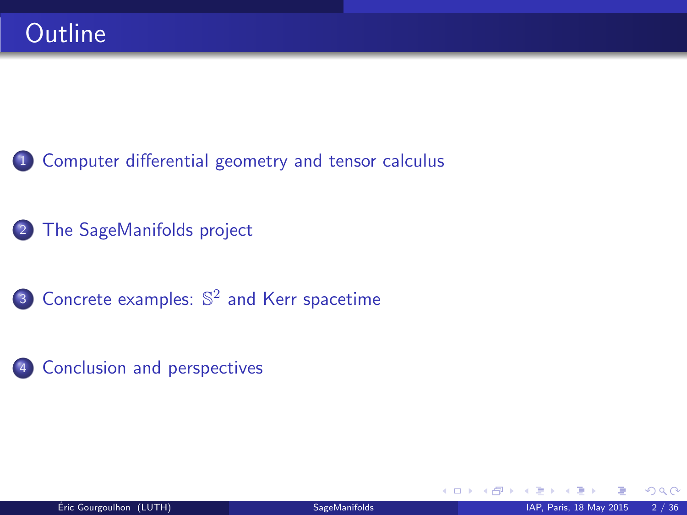- 1 [Computer differential geometry and tensor calculus](#page-2-0)
- <sup>2</sup> [The SageManifolds project](#page-18-0)
- **3** Concrete examples:  $\mathbb{S}^2$  [and Kerr spacetime](#page-41-0)
- <sup>4</sup> [Conclusion and perspectives](#page-46-0)

 $\Omega$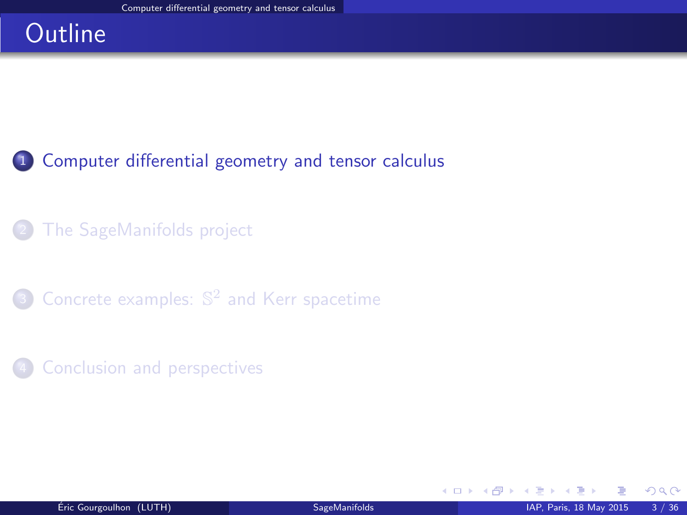# **Outline**

### <sup>1</sup> [Computer differential geometry and tensor calculus](#page-2-0)

### [The SageManifolds project](#page-18-0)

- **3** Concrete examples:  $\mathbb{S}^2$  [and Kerr spacetime](#page-41-0)
- **[Conclusion and perspectives](#page-46-0)**

<span id="page-2-0"></span> $\Omega$ 

**K ロ ト K 伊 ト K**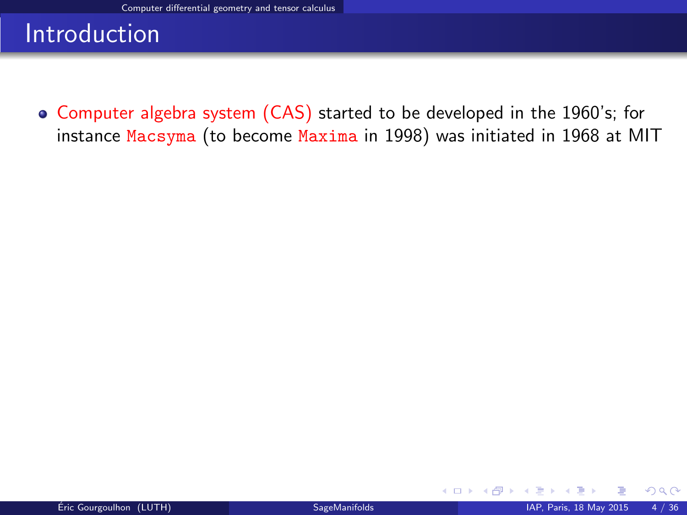Computer algebra system (CAS) started to be developed in the 1960's; for instance Macsyma (to become Maxima in 1998) was initiated in 1968 at MIT

**K ロ ト K 伊 ト K** 

<span id="page-3-0"></span> $QQ$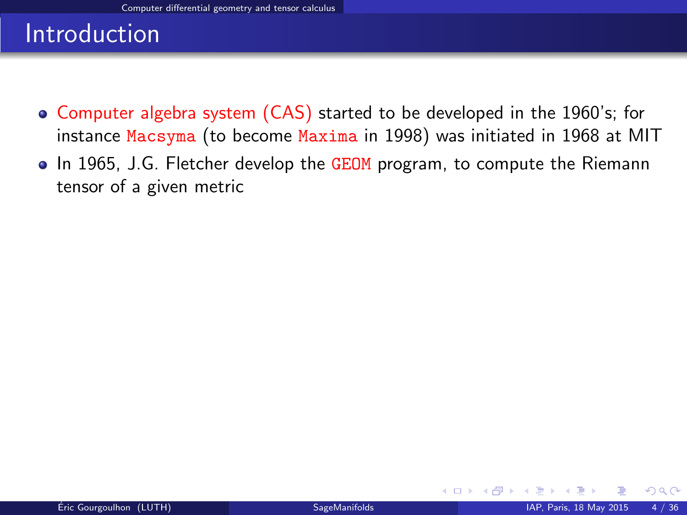- Computer algebra system (CAS) started to be developed in the 1960's; for instance Macsyma (to become Maxima in 1998) was initiated in 1968 at MIT
- In 1965, J.G. Fletcher develop the GEOM program, to compute the Riemann tensor of a given metric

<span id="page-4-0"></span> $\Omega$ 

**K ロ ▶ K 御 ▶ K 舌**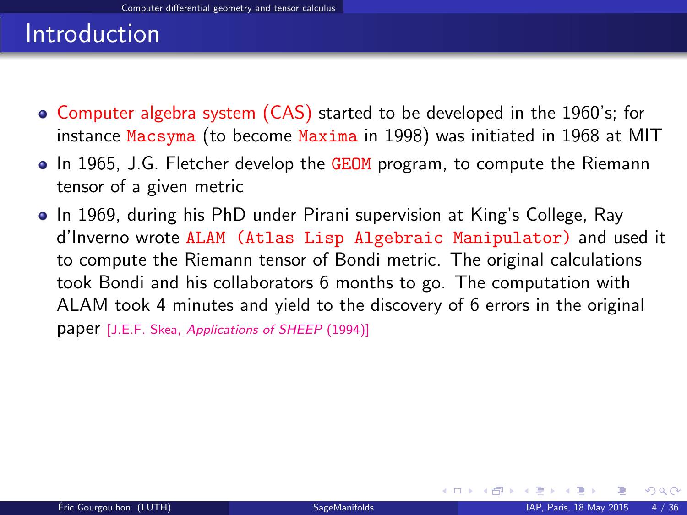- Computer algebra system (CAS) started to be developed in the 1960's; for instance Macsyma (to become Maxima in 1998) was initiated in 1968 at MIT
- In 1965, J.G. Fletcher develop the GEOM program, to compute the Riemann tensor of a given metric
- In 1969, during his PhD under Pirani supervision at King's College, Ray d'Inverno wrote ALAM (Atlas Lisp Algebraic Manipulator) and used it to compute the Riemann tensor of Bondi metric. The original calculations took Bondi and his collaborators 6 months to go. The computation with ALAM took 4 minutes and yield to the discovery of 6 errors in the original paper [J.E.F. Skea, [Applications of SHEEP](http://www.computeralgebra.nl/systemsoverview/special/tensoranalysis/sheep/) (1994)]

<span id="page-5-0"></span> $\Omega$ 

**K ロ ▶ ( 伊 ▶ ( 毛 ▶**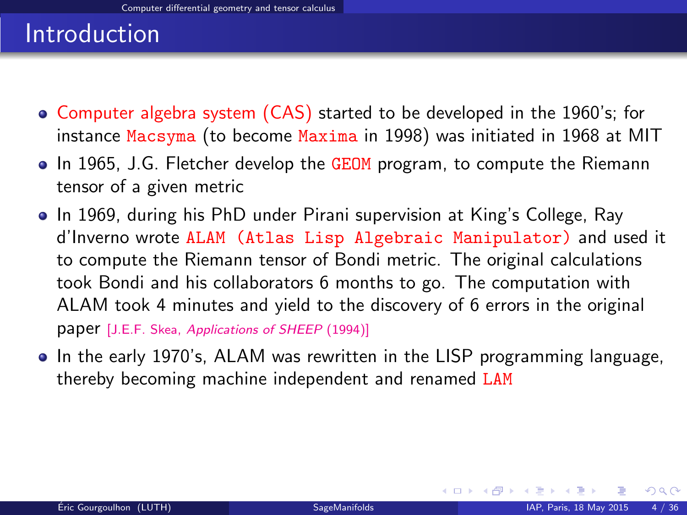- Computer algebra system (CAS) started to be developed in the 1960's; for instance Macsyma (to become Maxima in 1998) was initiated in 1968 at MIT
- In 1965, J.G. Fletcher develop the GEOM program, to compute the Riemann tensor of a given metric
- In 1969, during his PhD under Pirani supervision at King's College, Ray d'Inverno wrote ALAM (Atlas Lisp Algebraic Manipulator) and used it to compute the Riemann tensor of Bondi metric. The original calculations took Bondi and his collaborators 6 months to go. The computation with ALAM took 4 minutes and yield to the discovery of 6 errors in the original paper [J.E.F. Skea, [Applications of SHEEP](http://www.computeralgebra.nl/systemsoverview/special/tensoranalysis/sheep/) (1994)]
- In the early 1970's, ALAM was rewritten in the LISP programming language, thereby becoming machine independent and renamed LAM

<span id="page-6-0"></span> $\Omega$ 

**K ロ ⊁ K 倒 ≯ K 差 ≯ K**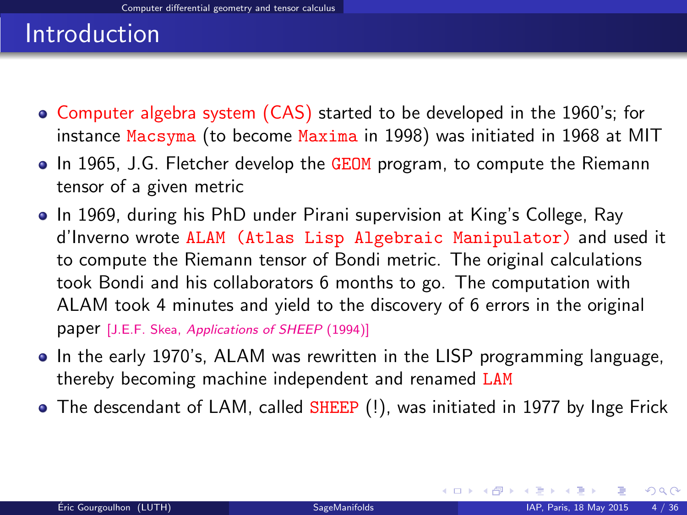- Computer algebra system (CAS) started to be developed in the 1960's; for instance Macsyma (to become Maxima in 1998) was initiated in 1968 at MIT
- In 1965, J.G. Fletcher develop the GEOM program, to compute the Riemann tensor of a given metric
- In 1969, during his PhD under Pirani supervision at King's College, Ray d'Inverno wrote ALAM (Atlas Lisp Algebraic Manipulator) and used it to compute the Riemann tensor of Bondi metric. The original calculations took Bondi and his collaborators 6 months to go. The computation with ALAM took 4 minutes and yield to the discovery of 6 errors in the original paper [J.E.F. Skea, [Applications of SHEEP](http://www.computeralgebra.nl/systemsoverview/special/tensoranalysis/sheep/) (1994)]
- In the early 1970's, ALAM was rewritten in the LISP programming language, thereby becoming machine independent and renamed LAM
- The descendant of LAM, called SHEEP (!), was initiated in 1977 by Inge Frick

<span id="page-7-0"></span> $\Omega$ 

**K ロ ト K 倒 ト K 差 ト K**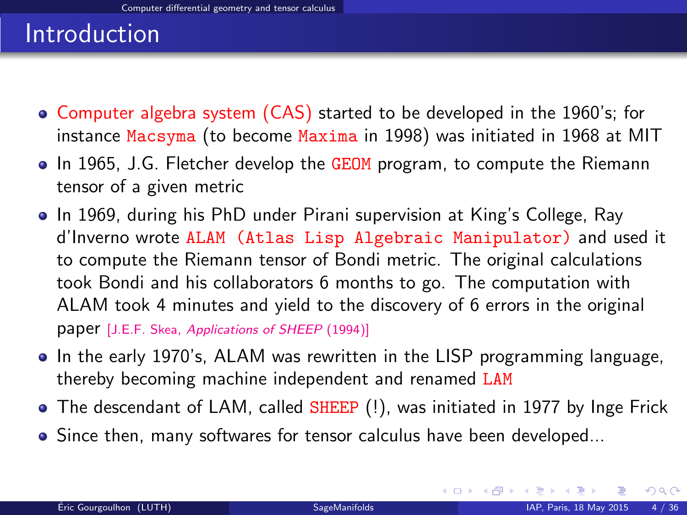- Computer algebra system (CAS) started to be developed in the 1960's; for instance Macsyma (to become Maxima in 1998) was initiated in 1968 at MIT
- In 1965, J.G. Fletcher develop the GEOM program, to compute the Riemann tensor of a given metric
- In 1969, during his PhD under Pirani supervision at King's College, Ray d'Inverno wrote ALAM (Atlas Lisp Algebraic Manipulator) and used it to compute the Riemann tensor of Bondi metric. The original calculations took Bondi and his collaborators 6 months to go. The computation with ALAM took 4 minutes and yield to the discovery of 6 errors in the original paper [J.E.F. Skea, [Applications of SHEEP](http://www.computeralgebra.nl/systemsoverview/special/tensoranalysis/sheep/) (1994)]
- In the early 1970's, ALAM was rewritten in the LISP programming language, thereby becoming machine independent and renamed LAM
- The descendant of LAM, called SHEEP (!), was initiated in 1977 by Inge Frick
- Since then, many softwares for tensor calculus have been developed...

<span id="page-8-0"></span> $\Omega$ 

メロトメ 御下 メミトメ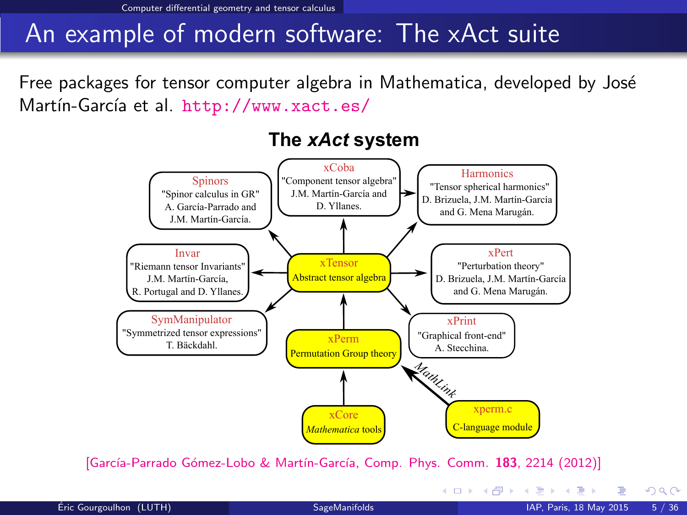[Computer differential geometry and tensor calculus](#page-9-0)

## An example of modern software: The xAct suite

Free packages for tensor computer algebra in Mathematica, developed by José Martín-García et al. <http://www.xact.es/>



#### The xAct system

[García-Parrado Gómez-Lobo & Martín-García, Comp. Phys. Comm. 183, 2214 (2012)]

<span id="page-9-0"></span> $QQ$ 

メロト メ都 トメ ヨ トメ ヨト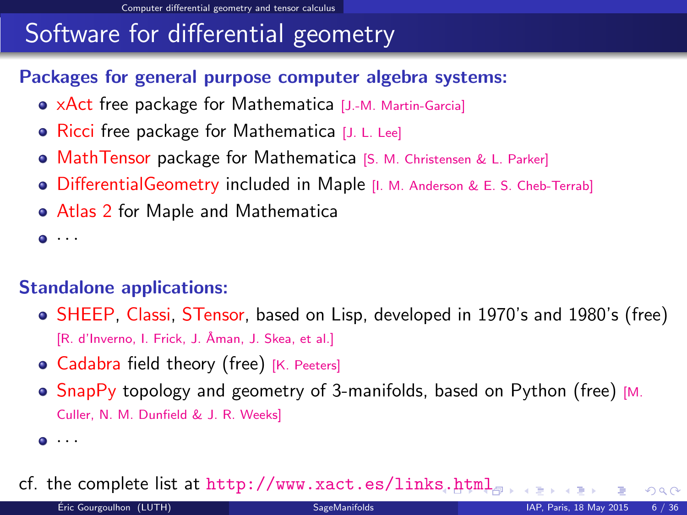# Software for differential geometry

### Packages for general purpose computer algebra systems:

- xAct free package for Mathematica [J.-M. Martin-Garcia]
- Ricci free package for Mathematica [J. L. Lee]
- **MathTensor package for Mathematica [S. M. Christensen & L. Parker]**
- **•** DifferentialGeometry included in Maple [I. M. Anderson & E. S. Cheb-Terrab]
- Atlas 2 for Maple and Mathematica

 $\bullet$   $\cdot$   $\cdot$ 

### Standalone applications:

- SHEEP, Classi, STensor, based on Lisp, developed in 1970's and 1980's (free) [R. d'Inverno, I. Frick, J. Åman, J. Skea, et al.]
- Cadabra field theory (free) [K. Peeters]
- $\bullet$  SnapPy topology and geometry of 3-manifolds, based on Python (free) [M. Culler, N. M. Dunfield & J. R. Weeks]

cf. the complete list at <http://www.xact.es/links.html>

<span id="page-10-0"></span> $\Omega$ 

 $\bullet$   $\cdots$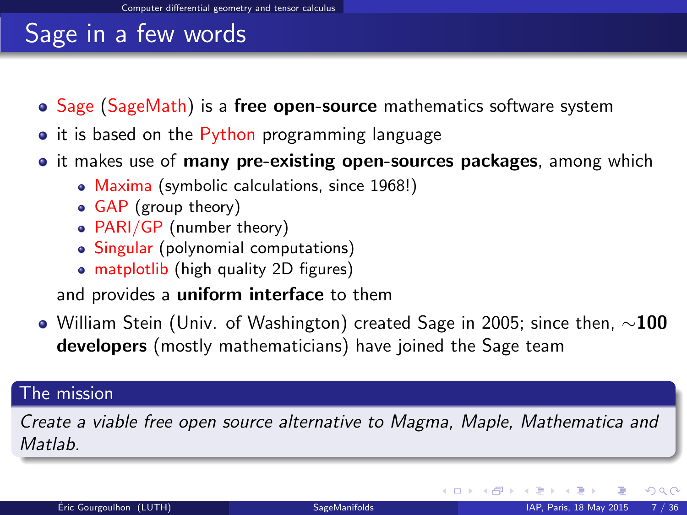# Sage in a few words

- $\bullet$  Sage (SageMath) is a free open-source mathematics software system
- it is based on the Python programming language
- it makes use of **many pre-existing open-sources packages**, among which
	- Maxima (symbolic calculations, since 1968!)
	- GAP (group theory)
	- PARI/GP (number theory)
	- Singular (polynomial computations)
	- matplotlib (high quality 2D figures)

and provides a uniform interface to them

 $\bullet$  William Stein (Univ. of Washington) created Sage in 2005; since then,  $\sim$ 100 developers (mostly mathematicians) have joined the Sage team

#### The mission

Create a viable free open source alternative to Magma, Maple, Mathematica and **Matlah** 

<span id="page-11-0"></span> $\Omega$ 

**K ロ ト K 何 ト K ヨ ト**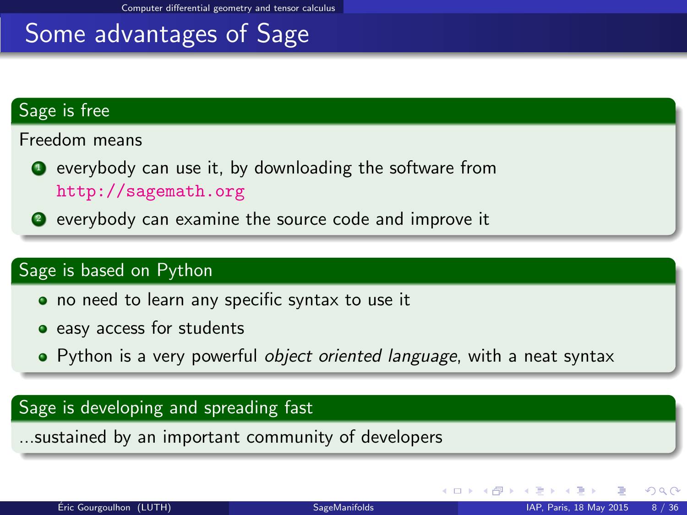## Some advantages of Sage

#### Sage is free

Freedom means

- $\bullet$  everybody can use it, by downloading the software from <http://sagemath.org>
- <sup>2</sup> everybody can examine the source code and improve it

#### Sage is based on Python

- no need to learn any specific syntax to use it
- easy access for students
- Python is a very powerful object oriented language, with a neat syntax

#### Sage is developing and spreading fast

...sustained by an important community of developers

<span id="page-12-0"></span> $\Omega$ 

**K ロ ⊁ K 倒 ≯ K 差 ≯ K**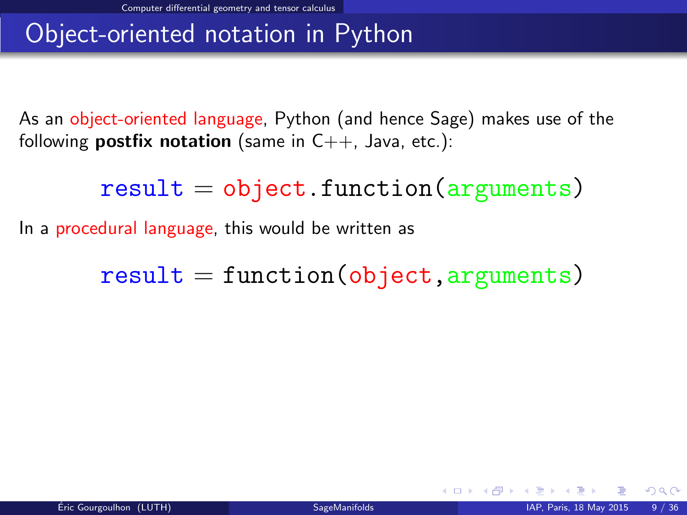# Object-oriented notation in Python

As an object-oriented language, Python (and hence Sage) makes use of the following **postfix notation** (same in  $C_{++}$ , Java, etc.):

 $result = object.function(arguments)$ 

In a procedural language, this would be written as

 $result = function(object, arguments)$ 

<span id="page-13-0"></span> $\Omega$ 

**4 ロ ト 4 何 ト 4**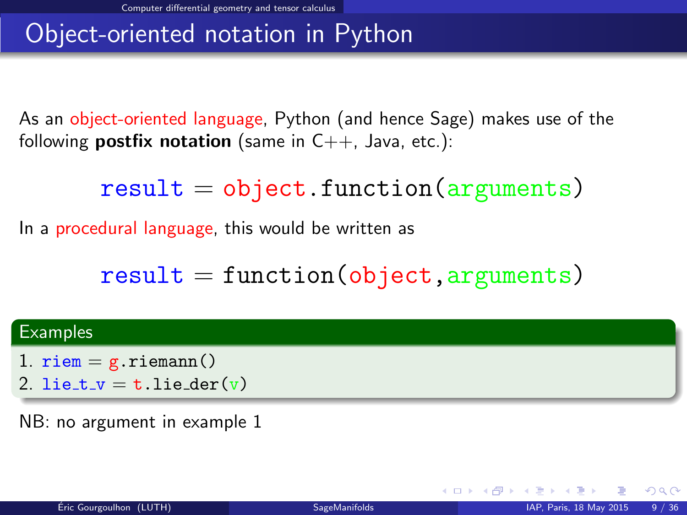# Object-oriented notation in Python

As an object-oriented language, Python (and hence Sage) makes use of the following **postfix notation** (same in  $C_{++}$ , Java, etc.):

 $result = object.function(arguments)$ 

In a procedural language, this would be written as

 $result = function(object, arguments)$ 

#### **Examples**

- 1.  $riem = g.riemann()$
- 2. lie\_t\_v = t.lie\_der(v)

NB: no argument in example 1

<span id="page-14-0"></span> $\Omega$ 

**K ロ ト K 倒 ト K 差 ト**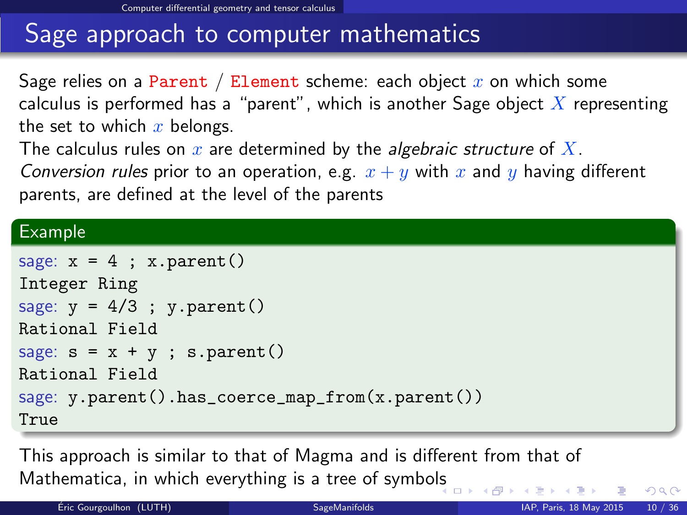# Sage approach to computer mathematics

Sage relies on a Parent / Element scheme: each object  $x$  on which some calculus is performed has a "parent", which is another Sage object  $\overline{X}$  representing the set to which  $x$  belongs.

The calculus rules on  $x$  are determined by the *algebraic structure* of  $X$ .

Conversion rules prior to an operation, e.g.  $x + y$  with x and y having different parents, are defined at the level of the parents

#### Example

```
sage: x = 4; x.parent()Integer Ring
sage: y = 4/3; y.parent()Rational Field
sage: s = x + y; s.parent()Rational Field
sage: y.parent().has_coerce_map_from(x.parent())
True
```
This approach is similar to that of Magma and is different from that of Mathematica, in which everything is a tree of symbo[ls](#page-14-0)

<span id="page-15-0"></span> $QQ$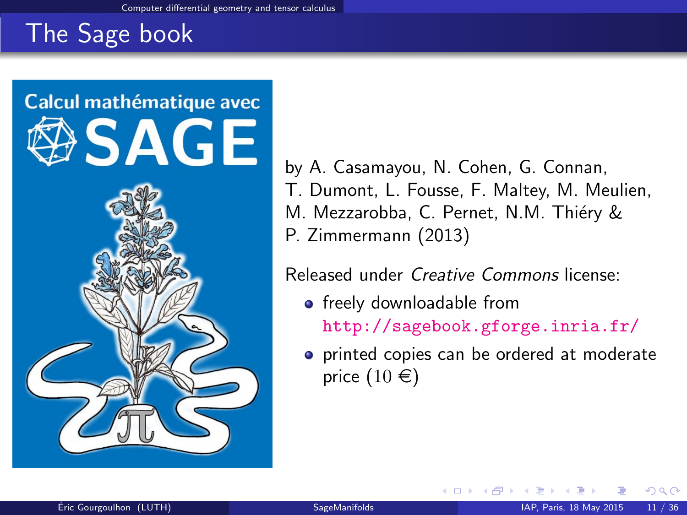# The Sage book



by A. Casamayou, N. Cohen, G. Connan, T. Dumont, L. Fousse, F. Maltey, M. Meulien, M. Mezzarobba, C. Pernet, N.M. Thiéry & P. Zimmermann (2013)

Released under Creative Commons license:

- freely downloadable from <http://sagebook.gforge.inria.fr/>
- **•** printed copies can be ordered at moderate price  $(10 \in)$

<span id="page-16-0"></span>റെ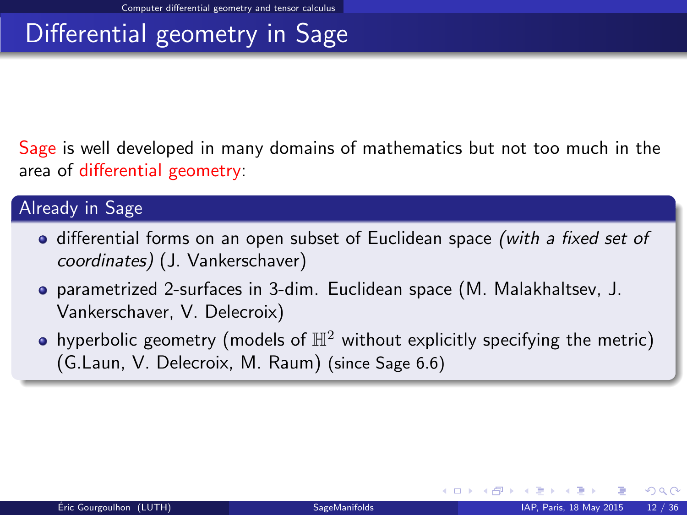# Differential geometry in Sage

Sage is well developed in many domains of mathematics but not too much in the area of differential geometry:

#### Already in Sage

- differential forms on an open subset of Euclidean space (with a fixed set of coordinates) (J. Vankerschaver)
- parametrized 2-surfaces in 3-dim. Euclidean space (M. Malakhaltsev, J. Vankerschaver, V. Delecroix)
- hyperbolic geometry (models of  $\mathbb{H}^2$  without explicitly specifying the metric) (G.Laun, V. Delecroix, M. Raum) (since Sage 6.6)

<span id="page-17-0"></span> $\Omega$ 

**K ロ ▶ K 何 ▶ K 手**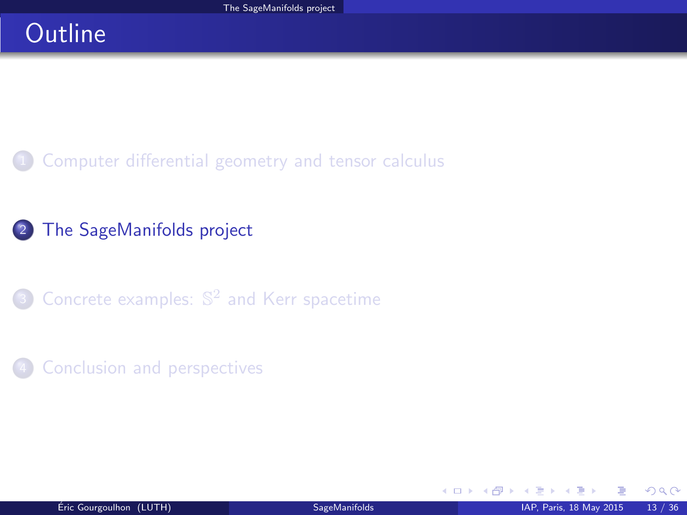# **Outline**

[Computer differential geometry and tensor calculus](#page-2-0)

### <sup>2</sup> [The SageManifolds project](#page-18-0)

**3** Concrete examples:  $\mathbb{S}^2$  [and Kerr spacetime](#page-41-0)

#### **[Conclusion and perspectives](#page-46-0)**

<span id="page-18-0"></span> $\Omega$ 

**K ロ ⊁ K 倒 ⊁ K**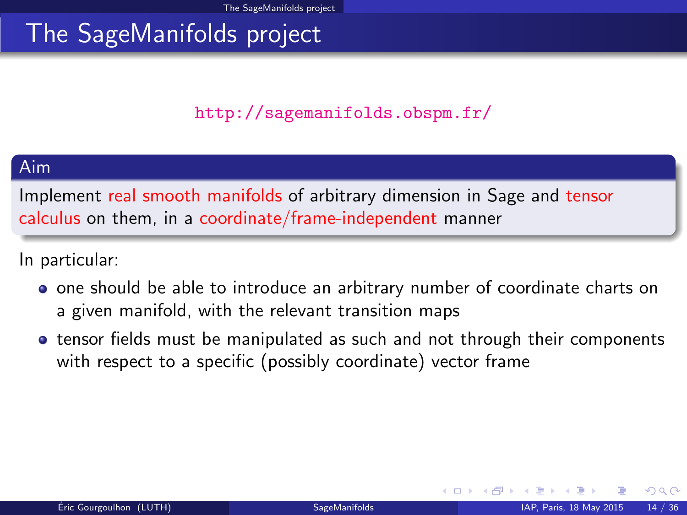### <http://sagemanifolds.obspm.fr/>

#### Aim

Implement real smooth manifolds of arbitrary dimension in Sage and tensor calculus on them, in a coordinate/frame-independent manner

In particular:

- one should be able to introduce an arbitrary number of coordinate charts on a given manifold, with the relevant transition maps
- tensor fields must be manipulated as such and not through their components with respect to a specific (possibly coordinate) vector frame

<span id="page-19-0"></span> $\Omega$ 

**K ロ ▶ K 御 ▶ K 舌**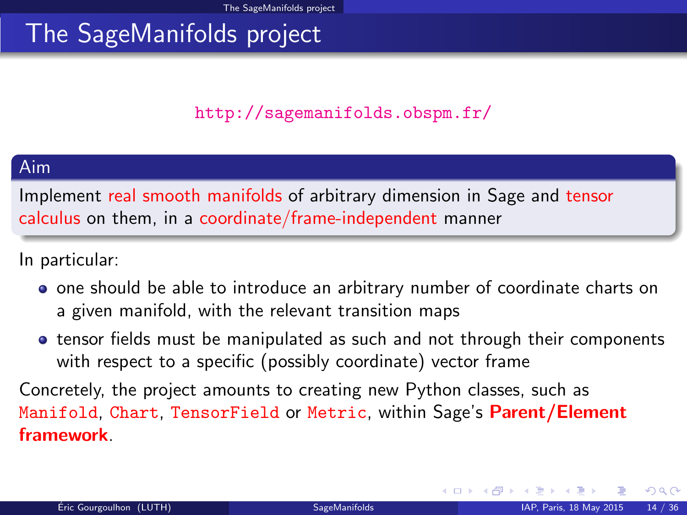### <http://sagemanifolds.obspm.fr/>

#### Aim

Implement real smooth manifolds of arbitrary dimension in Sage and tensor calculus on them, in a coordinate/frame-independent manner

In particular:

- one should be able to introduce an arbitrary number of coordinate charts on a given manifold, with the relevant transition maps
- tensor fields must be manipulated as such and not through their components with respect to a specific (possibly coordinate) vector frame

Concretely, the project amounts to creating new Python classes, such as Manifold, Chart, TensorField or Metric, within Sage's Parent/Element framework.

<span id="page-20-0"></span> $\Omega$ 

**K ロ ト K 倒 ト K 差 ト**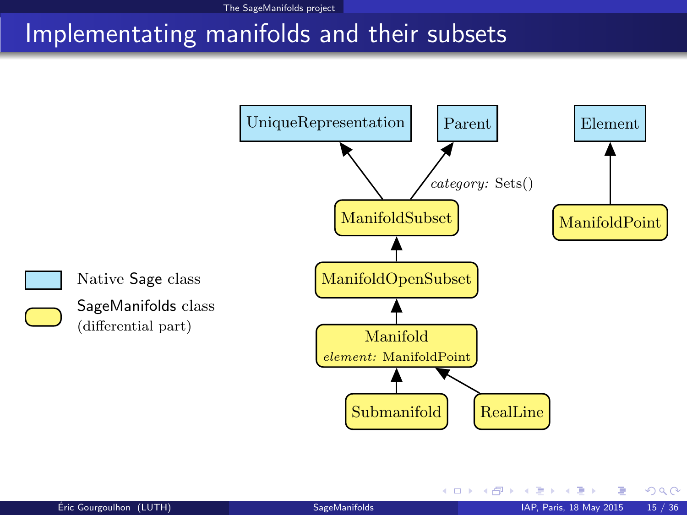## Implementating manifolds and their subsets



K ロ ▶ K 御 ▶ K 경 ▶ K 경

<span id="page-21-0"></span> $299$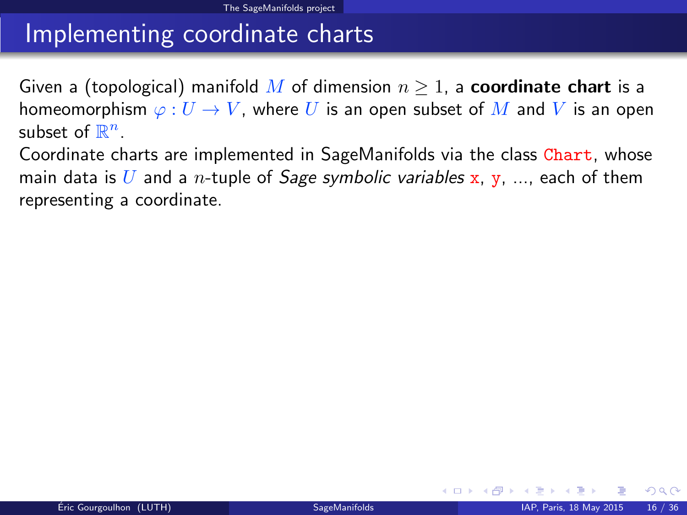## Implementing coordinate charts

Given a (topological) manifold M of dimension  $n \geq 1$ , a **coordinate chart** is a homeomorphism  $\varphi: U \to V$ , where U is an open subset of M and V is an open subset of  $\mathbb{R}^n$ .

Coordinate charts are implemented in SageManifolds via the class Chart, whose main data is U and a *n*-tuple of *Sage symbolic variables* x, y, ..., each of them representing a coordinate.

<span id="page-22-0"></span> $\Omega$ 

**K ロ ▶ K 伊 ▶ K 舌**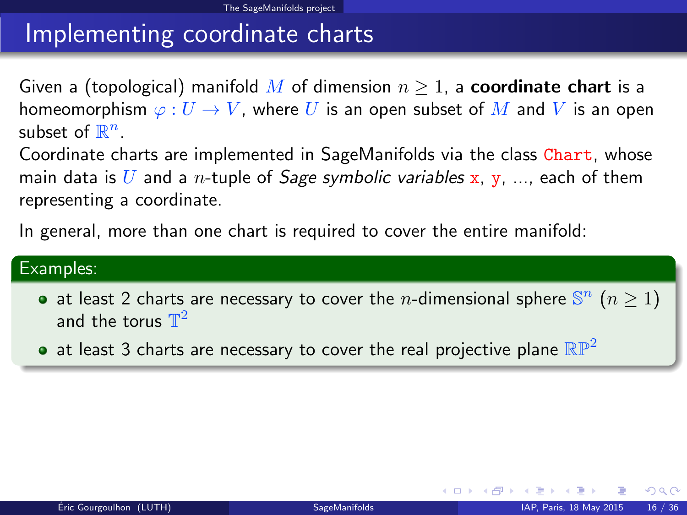# Implementing coordinate charts

Given a (topological) manifold M of dimension  $n \geq 1$ , a **coordinate chart** is a homeomorphism  $\varphi: U \to V$ , where U is an open subset of M and V is an open subset of  $\mathbb{R}^n$ .

Coordinate charts are implemented in SageManifolds via the class Chart, whose main data is U and a *n*-tuple of *Sage symbolic variables* x, y, ..., each of them representing a coordinate.

In general, more than one chart is required to cover the entire manifold:

#### Examples:

- at least 2 charts are necessary to cover the *n*-dimensional sphere  $\mathbb{S}^n$  ( $n \ge 1$ ) and the torus  $\mathbb{T}^2$
- at least 3 charts are necessary to cover the real projective plane  $\mathbb{RP}^2$

<span id="page-23-0"></span> $\Omega$ 

**K ロ ト K 倒 ト K 差 ト**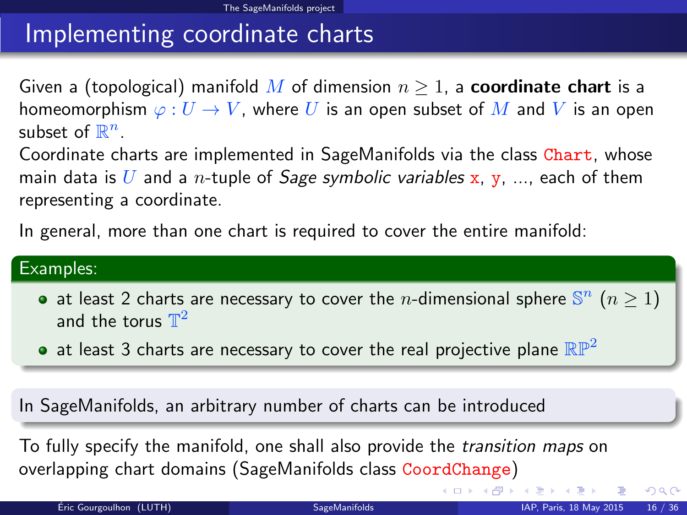# Implementing coordinate charts

Given a (topological) manifold M of dimension  $n \geq 1$ , a **coordinate chart** is a homeomorphism  $\varphi: U \to V$ , where U is an open subset of M and V is an open subset of  $\mathbb{R}^n$ .

Coordinate charts are implemented in SageManifolds via the class Chart, whose main data is U and a *n*-tuple of *Sage symbolic variables* x, y, ..., each of them representing a coordinate.

In general, more than one chart is required to cover the entire manifold:

#### Examples:

- at least 2 charts are necessary to cover the *n*-dimensional sphere  $\mathbb{S}^n$  ( $n \ge 1$ ) and the torus  $\mathbb{T}^2$
- at least 3 charts are necessary to cover the real projective plane  $\mathbb{RP}^2$

In SageManifolds, an arbitrary number of charts can be introduced

To fully specify the manifold, one shall also provide the transition maps on overlapping chart domains (SageManifolds class CoordChange)

<span id="page-24-0"></span> $QQ$ 

**K ロ ▶ イ 伊 ▶ イ ヨ**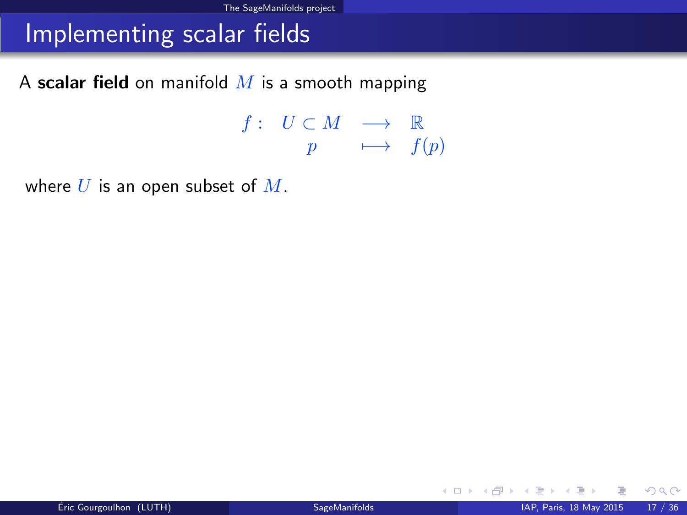## Implementing scalar fields

A scalar field on manifold  $M$  is a smooth mapping

 $f: U \subset M \longrightarrow \mathbb{R}$  $p \longrightarrow f(p)$ 

where  $U$  is an open subset of  $M$ .

メロメ メ都 メメ ミメ メヨメ

<span id="page-25-0"></span> $299$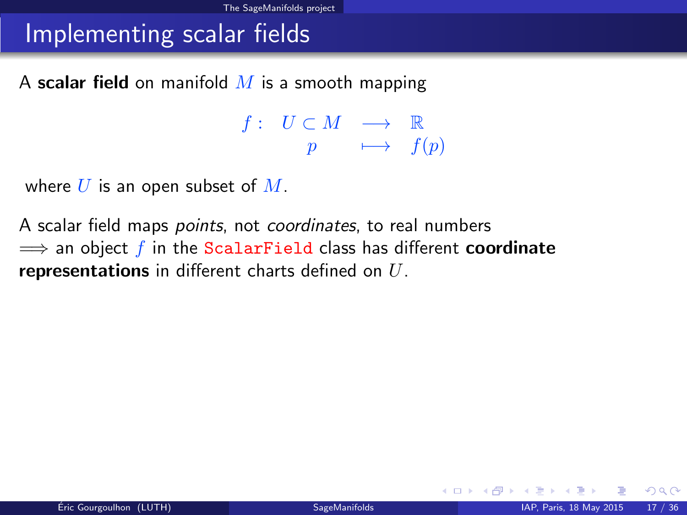## Implementing scalar fields

A scalar field on manifold  $M$  is a smooth mapping

 $f: U \subset M \longrightarrow \mathbb{R}$  $p \longrightarrow f(p)$ 

where  $U$  is an open subset of  $M$ .

A scalar field maps *points*, not *coordinates*, to real numbers  $\implies$  an object f in the ScalarField class has different **coordinate** representations in different charts defined on  $U$ .

<span id="page-26-0"></span> $\Omega$ 

K ロ ▶ K 御 ▶ K 경 ▶ K 경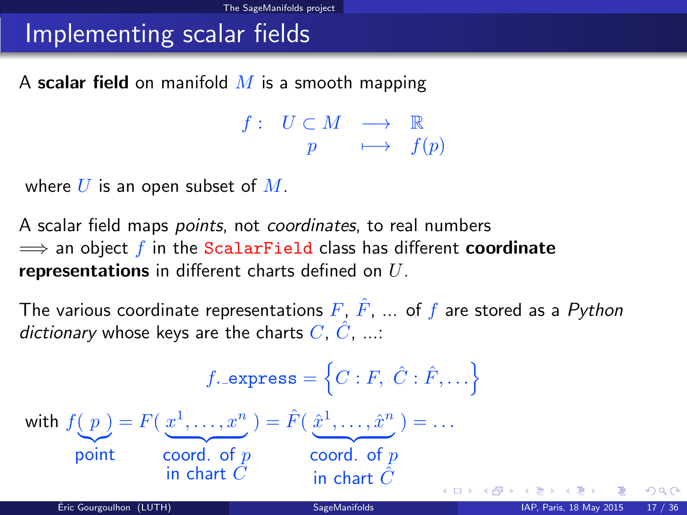## Implementing scalar fields

A scalar field on manifold  $M$  is a smooth mapping

<span id="page-27-0"></span> $f: U \subset M \longrightarrow \mathbb{R}$  $p \longrightarrow f(p)$ 

where  $U$  is an open subset of  $M$ .

A scalar field maps *points*, not *coordinates*, to real numbers  $\implies$  an object f in the ScalarField class has different coordinate representations in different charts defined on  $U$ .

The various coordinate representations  $F, \hat{F}, \dots$  of f are stored as a Python dictionary whose keys are the charts  $C, \hat{C}, \dots$ 

$$
f.\text{express} = \left\{ C : F, \hat{C} : \hat{F}, \dots \right\}
$$
\nwith  $f(p) = F(\underbrace{x^1, \dots, x^n}_{\text{point}}) = \hat{F}(\underbrace{\hat{x}^1, \dots, \hat{x}^n}_{\text{coord. of } p}) = \dots$ \n
$$
\underbrace{\text{word. of } p}_{\text{in chart } \hat{C}}
$$
\n
$$
\underbrace{\text{word. of } p}_{\text{in chart } \hat{C}}
$$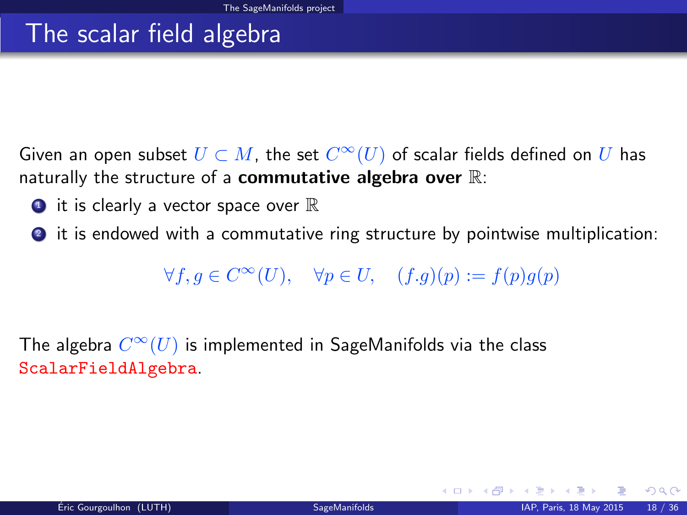### The scalar field algebra

Given an open subset  $U\subset M$ , the set  $C^\infty(U)$  of scalar fields defined on  $U$  has naturally the structure of a commutative algebra over  $\mathbb{R}$ :

- $\bullet$  it is clearly a vector space over  $\mathbb R$
- <sup>2</sup> it is endowed with a commutative ring structure by pointwise multiplication:

 $\forall f, g \in C^{\infty}(U), \quad \forall p \in U, \quad (f.g)(p) := f(p)g(p)$ 

The algebra  $C^\infty(U)$  is implemented in SageManifolds via the class ScalarFieldAlgebra.

<span id="page-28-0"></span> $\Omega$ 

メロト メ御 トメ ミトメ 毛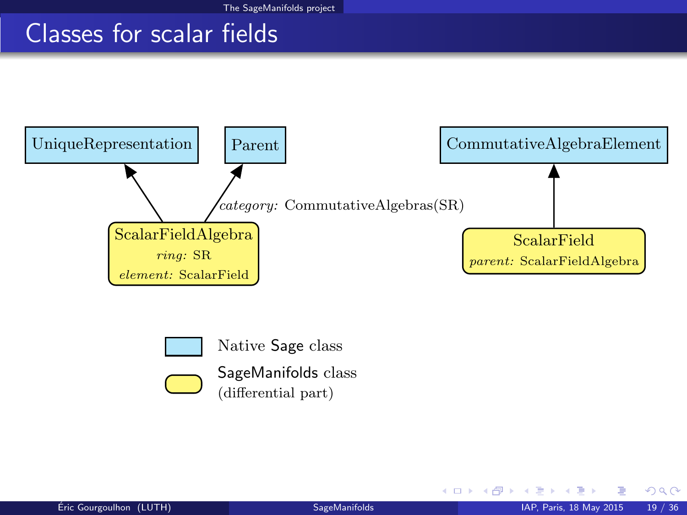## Classes for scalar fields





Native Sage class



SageManifolds class (differential part)

<span id="page-29-0"></span> $298$ 

メロト メ都 トメ ミトメ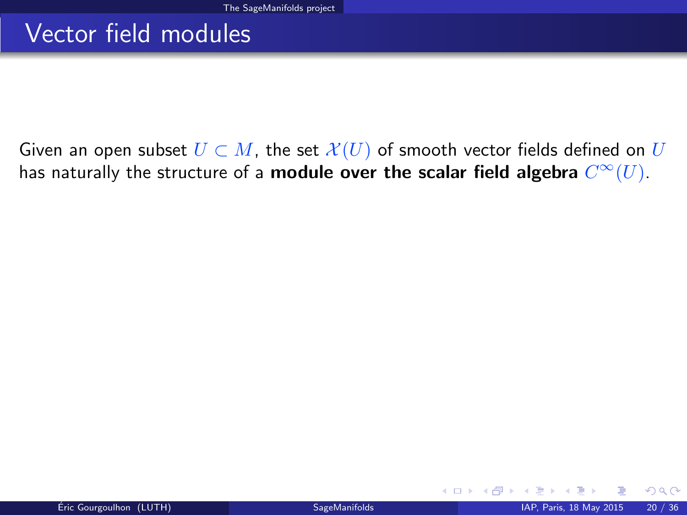## Vector field modules

Given an open subset  $U \subset M$ , the set  $\mathcal{X}(U)$  of smooth vector fields defined on U has naturally the structure of a **module over the scalar field algebra**  $C^\infty(U).$ 

<span id="page-30-0"></span> $\Omega$ 

**K ロ ト K 伊 ト K**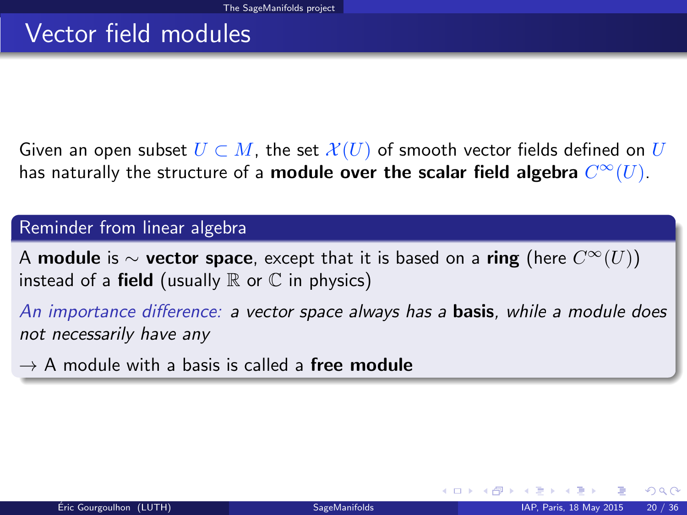# Vector field modules

Given an open subset  $U \subset M$ , the set  $\mathcal{X}(U)$  of smooth vector fields defined on U has naturally the structure of a **module over the scalar field algebra**  $C^\infty(U).$ 

#### Reminder from linear algebra

A module is  $\sim$  vector space, except that it is based on a ring (here  $C^{\infty}(U)$ ) instead of a **field** (usually  $\mathbb R$  or  $\mathbb C$  in physics)

An importance difference: a vector space always has a **basis**, while a module does not necessarily have any

 $\rightarrow$  A module with a basis is called a free module

<span id="page-31-0"></span> $\Omega$ 

**K ロ ト K 何 ト K ヨ ト**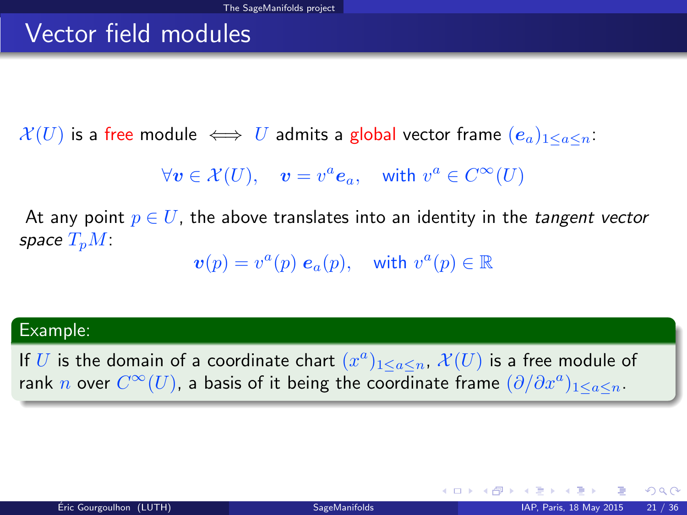## Vector field modules

 $\mathcal{X}(U)$  is a free module  $\iff U$  admits a global vector frame  $(e_a)_{1\leq a\leq n}$ .

 $\forall v \in \mathcal{X}(U)$ ,  $v = v^a e_a$ , with  $v^a \in C^{\infty}(U)$ 

At any point  $p \in U$ , the above translates into an identity in the *tangent vector* space  $T_pM$ :

 $\boldsymbol{v}(p) = v^a(p) \; \boldsymbol{e}_a(p), \quad \text{with } v^a(p) \in \mathbb{R}$ 

#### Example:

If U is the domain of a coordinate chart  $(x^a)_{1 \leq a \leq n}$ ,  $\mathcal{X}(U)$  is a free module of rank  $n$  over  $C^\infty(U)$ , a basis of it being the coordinate frame  $(\partial/\partial x^a)_{1\leq a\leq n}.$ 

<span id="page-32-0"></span> $QQ$ 

メロメ メ都 メメ 君 メメ ヨメ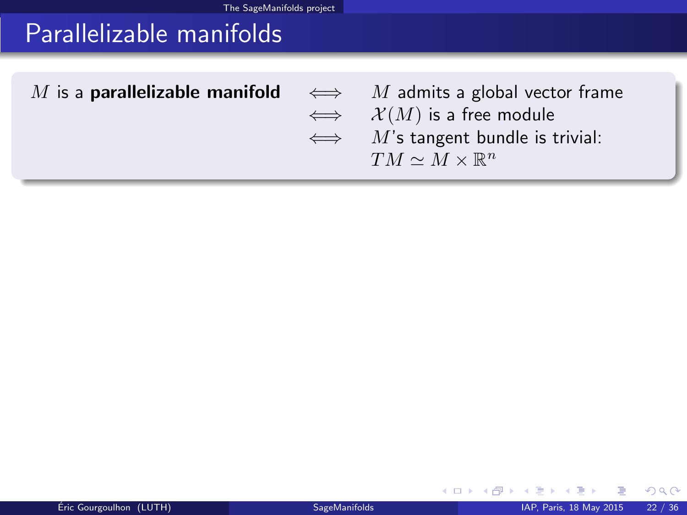# Parallelizable manifolds

| M is a <b>parallelizable manifold</b> $\iff$ M admits a global vector frame |                                          |
|-----------------------------------------------------------------------------|------------------------------------------|
|                                                                             | $\iff$ $\mathcal{X}(M)$ is a free module |
|                                                                             | $\iff$ M's tangent bundle is trivial:    |
|                                                                             | $TM \sim M \times \mathbb{R}^n$          |
|                                                                             |                                          |

ŧ

×

<span id="page-33-0"></span> $299$ 

K ロ ⊁ K 倒 ⊁ K 店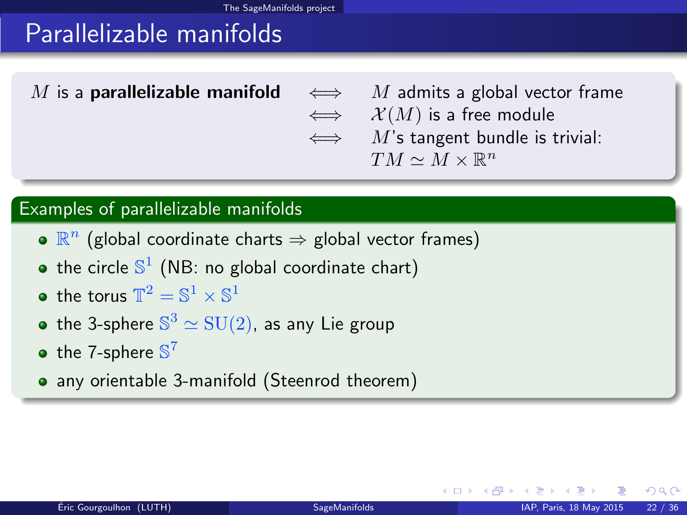# Parallelizable manifolds

M is a **parallelizable manifold**  $\iff$  M admits a global vector frame  $\iff$   $\mathcal{X}(M)$  is a free module  $\iff$  M's tangent bundle is trivial:  $TM \simeq M \times \mathbb{R}^n$ 

#### Examples of parallelizable manifolds

- $\mathbb{R}^n$  (global coordinate charts  $\Rightarrow$  global vector frames)
- the circle  $\mathbb{S}^1$  (NB: no global coordinate chart)
- the torus  $\mathbb{T}^2 = \mathbb{S}^1 \times \mathbb{S}^1$
- the 3-sphere  $\mathbb{S}^3 \simeq \mathrm{SU}(2)$ , as any Lie group
- the 7-sphere  $\mathbb{S}^7$
- any orientable 3-manifold (Steenrod theorem)

<span id="page-34-0"></span> $\Omega$ 

**K ロ ト K 何 ト K 日**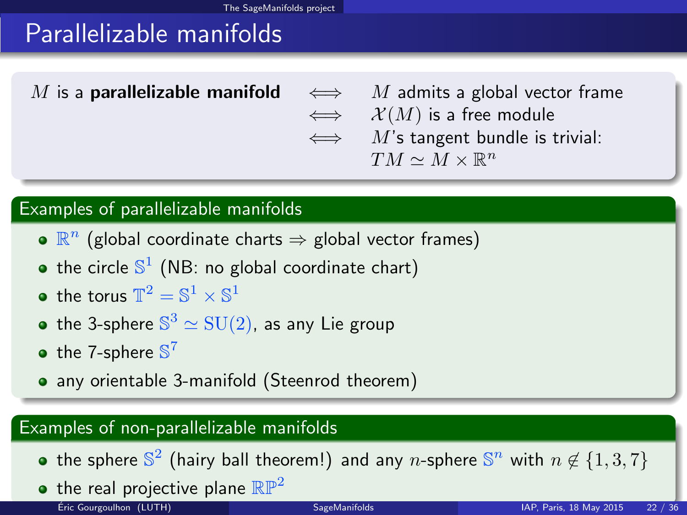# Parallelizable manifolds

M is a **parallelizable manifold**  $\iff$  M admits a global vector frame  $\iff$   $\mathcal{X}(M)$  is a free module  $\iff$  M's tangent bundle is trivial:  $TM \simeq M \times \mathbb{R}^n$ 

### Examples of parallelizable manifolds

- $\mathbb{R}^n$  (global coordinate charts  $\Rightarrow$  global vector frames)
- the circle  $\mathbb{S}^1$  (NB: no global coordinate chart)
- the torus  $\mathbb{T}^2 = \mathbb{S}^1 \times \mathbb{S}^1$
- the 3-sphere  $\mathbb{S}^3 \simeq \mathrm{SU}(2)$ , as any Lie group
- the 7-sphere  $\mathbb{S}^7$
- any orientable 3-manifold (Steenrod theorem)

### Examples of non-parallelizable manifolds

- the sphere  $\mathbb{S}^2$  (hairy ball theorem!) and any n-sphere  $\mathbb{S}^n$  with  $n \not\in \{1,3,7\}$
- <span id="page-35-0"></span>• the real projective plane  $\mathbb{RP}^2$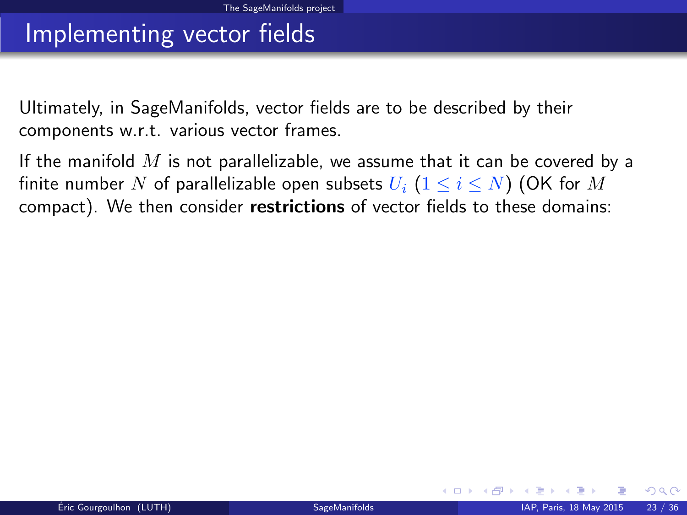### Implementing vector fields

Ultimately, in SageManifolds, vector fields are to be described by their components w.r.t. various vector frames.

If the manifold  $M$  is not parallelizable, we assume that it can be covered by a finite number N of parallelizable open subsets  $U_i$   $(1 \le i \le N)$  (OK for M compact). We then consider restrictions of vector fields to these domains:

<span id="page-36-0"></span> $\Omega$ 

**K ロ ▶ K 何 ▶ K**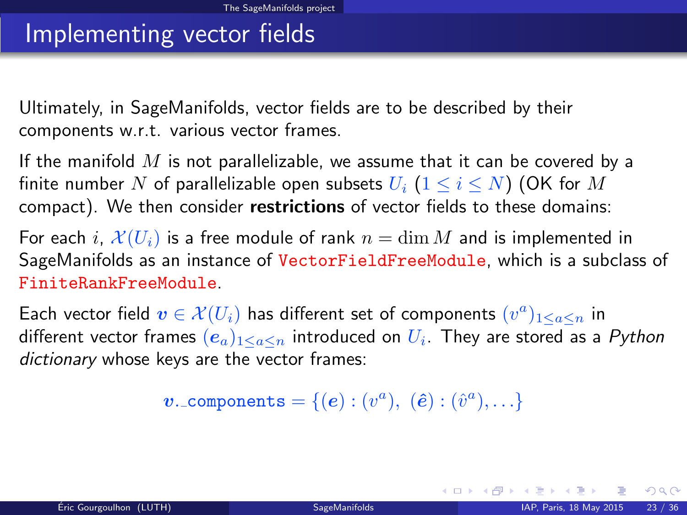### Implementing vector fields

Ultimately, in SageManifolds, vector fields are to be described by their components w.r.t. various vector frames.

If the manifold  $M$  is not parallelizable, we assume that it can be covered by a finite number N of parallelizable open subsets  $U_i$   $(1 \le i \le N)$  (OK for M compact). We then consider restrictions of vector fields to these domains:

For each i,  $\mathcal{X}(U_i)$  is a free module of rank  $n = \dim M$  and is implemented in SageManifolds as an instance of VectorFieldFreeModule, which is a subclass of FiniteRankFreeModule.

Each vector field  $\boldsymbol{v} \in \mathcal{X}(U_i)$  has different set of components  $(v^a)_{1 \leq a \leq n}$  in different vector frames  $(e_a)_{1\leq a\leq n}$  introduced on  $U_i$ . They are stored as a  $Python$ dictionary whose keys are the vector frames:

 $\boldsymbol{v}$ . components =  $\{(\boldsymbol{e}): (v^a),\; (\hat{\boldsymbol{e}}): (\hat{v}^a), \ldots\}$ 

メロト メタト メミトメ

<span id="page-37-0"></span> $QQ$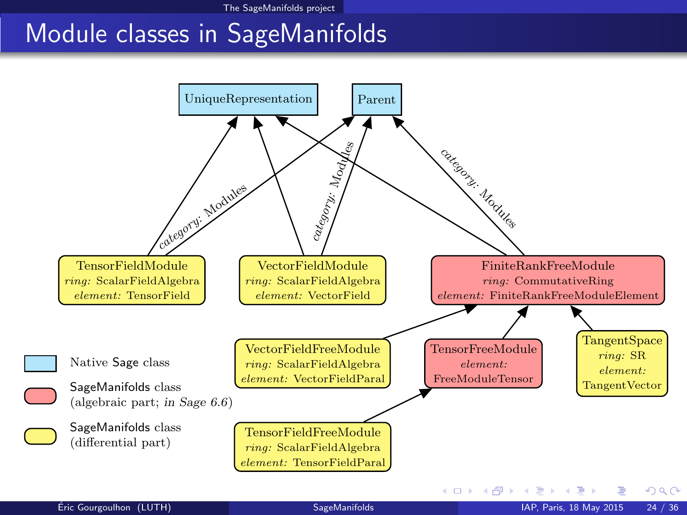## <span id="page-38-0"></span>Module classes in SageManifolds

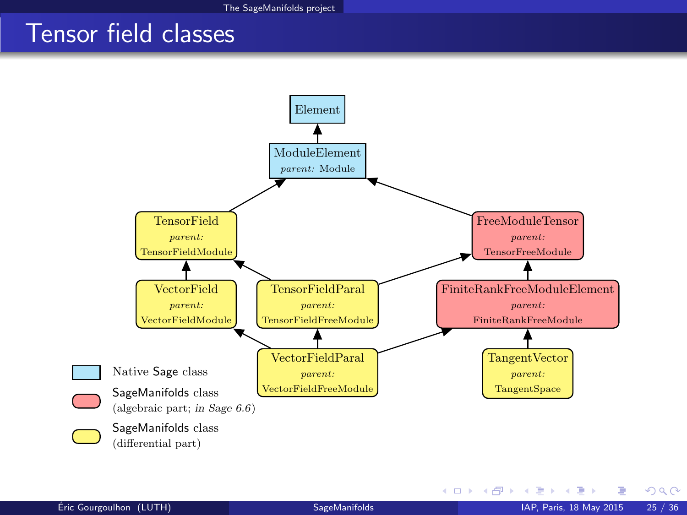### Tensor field classes



<span id="page-39-0"></span> $299$ 

メロト メ御 トメ ヨ トメ ヨト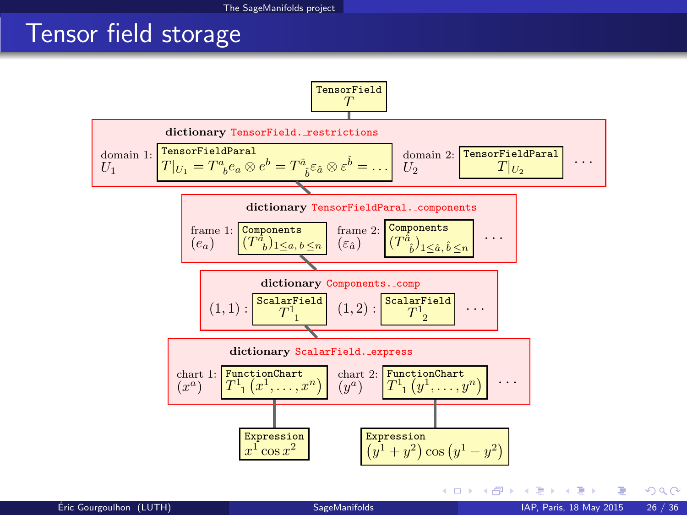## Tensor field storage



<span id="page-40-0"></span> $299$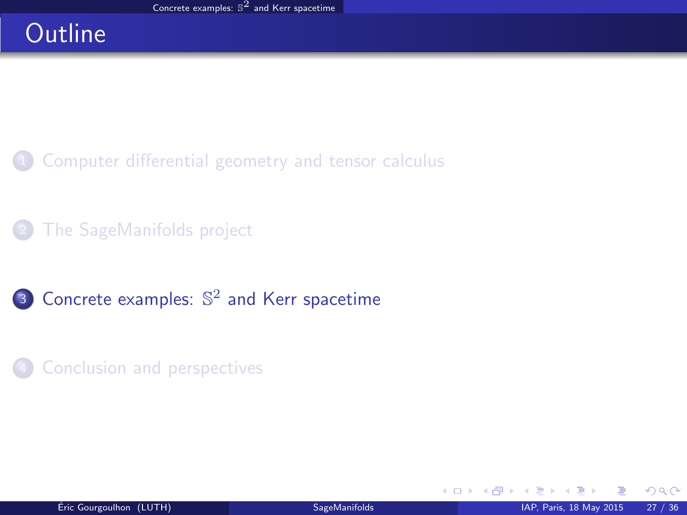# **Outline**

- [Computer differential geometry and tensor calculus](#page-2-0)
- [The SageManifolds project](#page-18-0)
- **3** Concrete examples:  $\mathbb{S}^2$  [and Kerr spacetime](#page-41-0)
- **[Conclusion and perspectives](#page-46-0)**

<span id="page-41-0"></span> $\Omega$ 

**4 ロ ト 4 何 ト 4**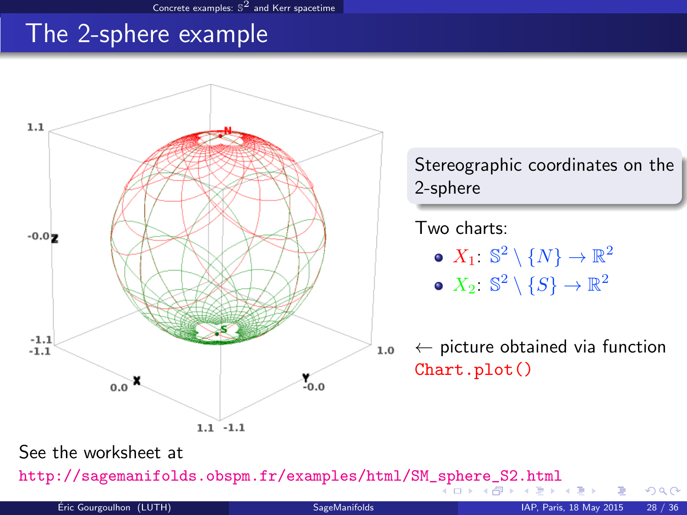### The 2-sphere example



<span id="page-42-0"></span>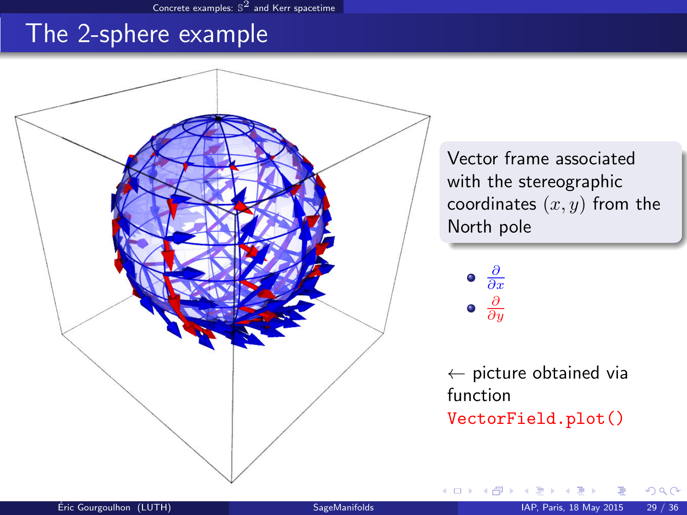### The 2-sphere example



Vector frame associated with the stereographic coordinates  $(x, y)$  from the North pole

$$
\bullet \frac{\partial}{\partial x}
$$
\n
$$
\bullet \frac{\partial}{\partial y}
$$

 $\leftarrow$  picture obtained via function VectorField.plot()

<span id="page-43-0"></span> $\Omega$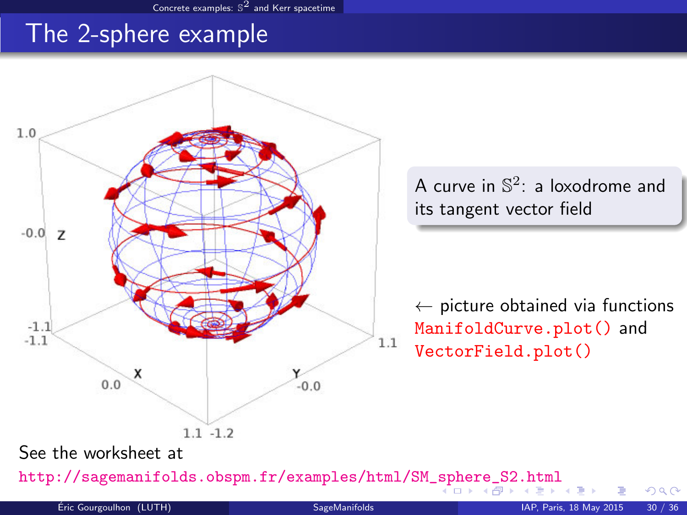### The 2-sphere example



<span id="page-44-0"></span>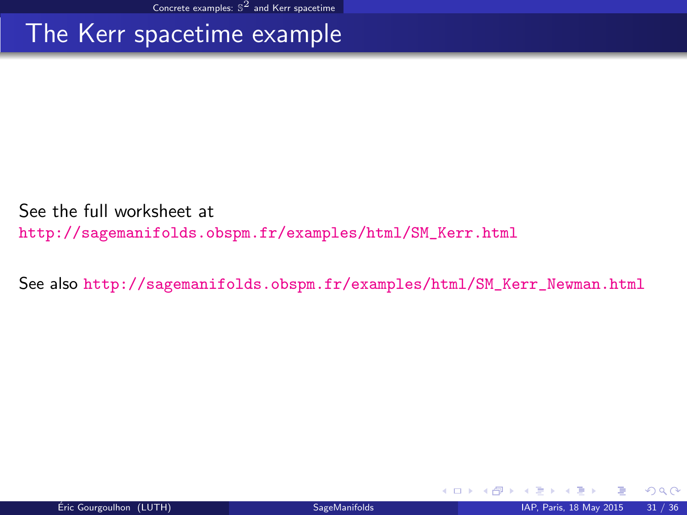### The Kerr spacetime example

See the full worksheet at [http://sagemanifolds.obspm.fr/examples/html/SM\\_Kerr.html](http://sagemanifolds.obspm.fr/examples/html/SM_Kerr.html)

See also [http://sagemanifolds.obspm.fr/examples/html/SM\\_Kerr\\_Newman.html](http://sagemanifolds.obspm.fr/examples/html/SM_Kerr_Newman.html)

<span id="page-45-0"></span> $\Omega$ 

**K ロ ト K 何 ト**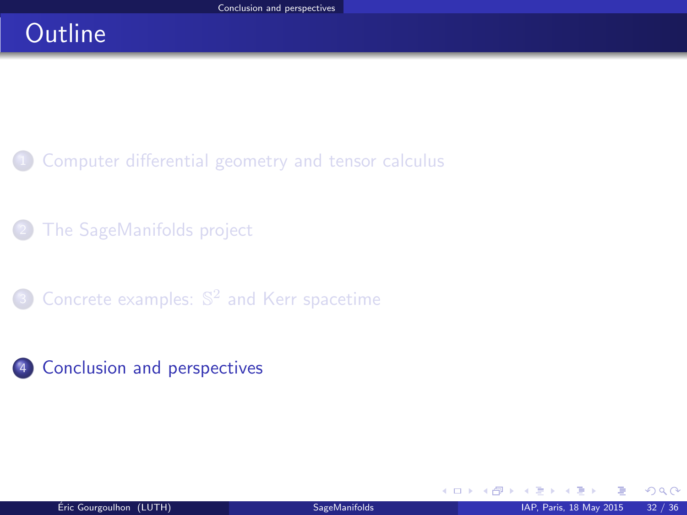# **Outline**

- [Computer differential geometry and tensor calculus](#page-2-0)
- [The SageManifolds project](#page-18-0)
- **3** Concrete examples:  $\mathbb{S}^2$  [and Kerr spacetime](#page-41-0)
- 4 [Conclusion and perspectives](#page-46-0)

**K ロ ト K 伊 ト K** 

<span id="page-46-0"></span> $299$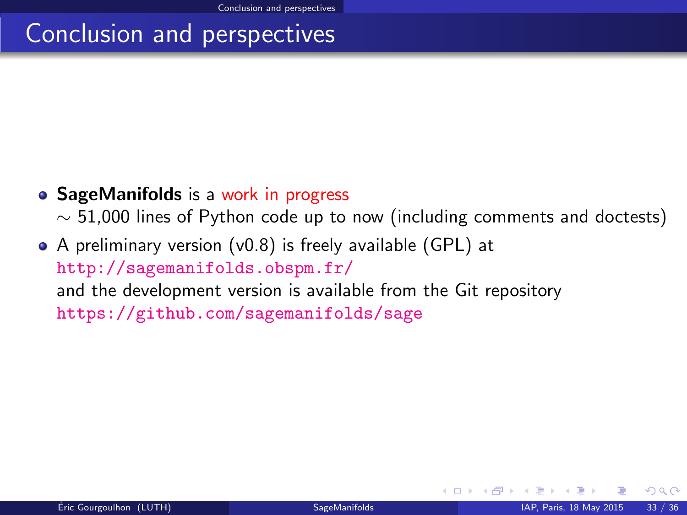## Conclusion and perspectives

• SageManifolds is a work in progress

 $\sim$  51,000 lines of Python code up to now (including comments and doctests)

A preliminary version (v0.8) is freely available (GPL) at <http://sagemanifolds.obspm.fr/> and the development version is available from the Git repository <https://github.com/sagemanifolds/sage>

<span id="page-47-0"></span> $\Omega$ 

**K ロ ▶ K 何 ▶ K 手**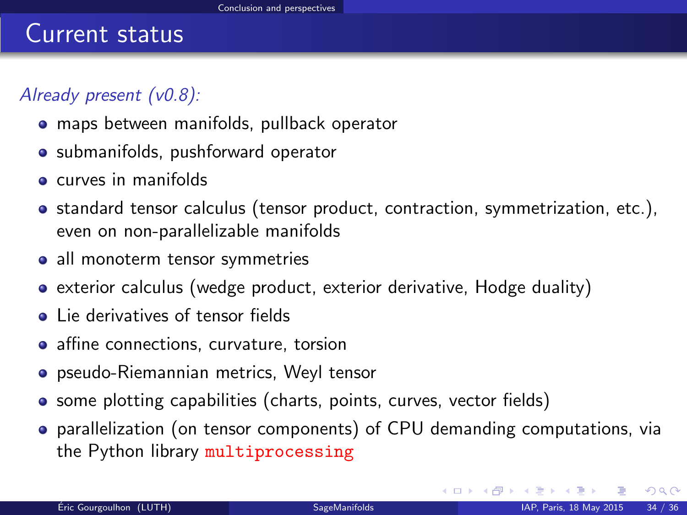### Current status

### Already present (v0.8):

- maps between manifolds, pullback operator
- submanifolds, pushforward operator
- **e** curves in manifolds
- standard tensor calculus (tensor product, contraction, symmetrization, etc.), even on non-parallelizable manifolds
- all monoterm tensor symmetries
- exterior calculus (wedge product, exterior derivative, Hodge duality)
- Lie derivatives of tensor fields
- affine connections, curvature, torsion
- pseudo-Riemannian metrics, Weyl tensor
- some plotting capabilities (charts, points, curves, vector fields)
- parallelization (on tensor components) of CPU demanding computations, via the Python library multiprocessing

<span id="page-48-0"></span> $209$ 

メロト メタト メミトメ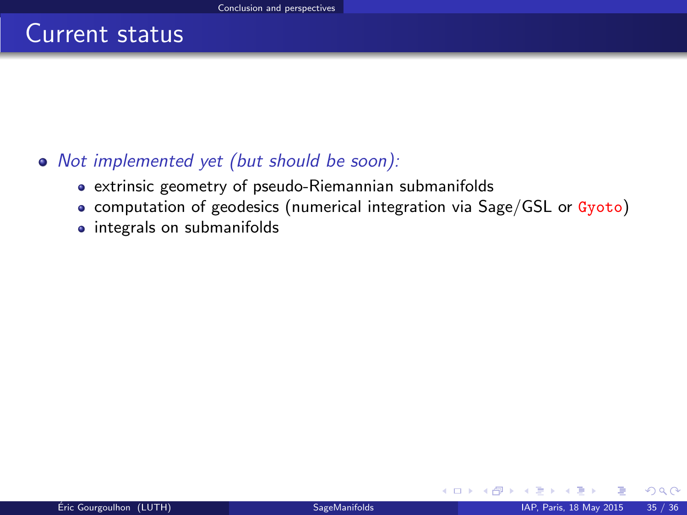### Current status

### Not implemented yet (but should be soon):

- extrinsic geometry of pseudo-Riemannian submanifolds
- computation of geodesics (numerical integration via Sage/GSL or Gyoto)
- integrals on submanifolds

<span id="page-49-0"></span> $\Omega$ 

**K ロ ▶ K 何 ▶ K**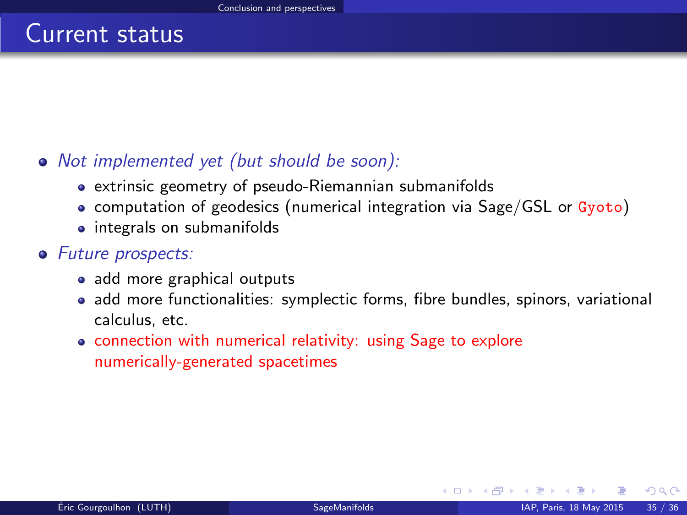### Current status

### • Not implemented yet (but should be soon):

- extrinsic geometry of pseudo-Riemannian submanifolds
- computation of geodesics (numerical integration via Sage/GSL or Gyoto)
- integrals on submanifolds

#### • Future prospects:

- add more graphical outputs
- add more functionalities: symplectic forms, fibre bundles, spinors, variational calculus, etc.
- connection with numerical relativity: using Sage to explore numerically-generated spacetimes

<span id="page-50-0"></span> $\Omega$ 

**K ロ ▶ K 何 ▶ K 手**